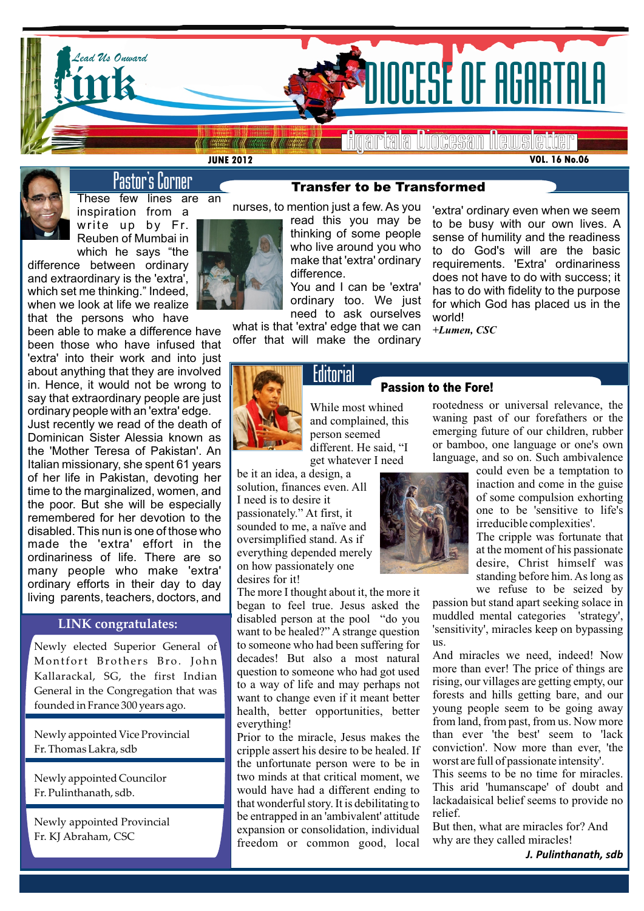

**JUNE 2012**

**VOL. 16 No.06**

# Pastor's Corner

These few lines are an inspiration from a write up by Fr. Reuben of Mumbai in which he says "the

difference between ordinary and extraordinary is the 'extra', which set me thinking." Indeed, when we look at life we realize that the persons who have

been able to make a difference have been those who have infused that 'extra' into their work and into just about anything that they are involved in. Hence, it would not be wrong to say that extraordinary people are just ordinary people with an 'extra' edge.

Just recently we read of the death of Dominican Sister Alessia known as the 'Mother Teresa of Pakistan'. An Italian missionary, she spent 61 years of her life in Pakistan, devoting her time to the marginalized, women, and the poor. But she will be especially remembered for her devotion to the disabled. This nun is one of those who made the 'extra' effort in the ordinariness of life. There are so many people who make 'extra' ordinary efforts in their day to day living parents, teachers, doctors, and

# **LINK congratulates:**

Newly elected Superior General of to so Montfort Brothers Bro. John Kallarackal, SG, the first Indian General in the Congregation that was founded in France 300 years ago.

Newly appointed Vice Provincial Fr. Thomas Lakra, sdb

Newly appointed Councilor Fr. Pulinthanath, sdb.

Newly appointed Provincial Fr. KJ Abraham, CSC



read this you may be thinking of some people who live around you who make that 'extra' ordinary difference.

You and I can be 'extra' ordinary too. We just need to ask ourselves

what is that 'extra' edge that we can offer that will make the ordinary

**Editorial** 

'extra' ordinary even when we seem to be busy with our own lives. A sense of humility and the readiness to do God's will are the basic requirements. 'Extra' ordinariness does not have to do with success; it has to do with fidelity to the purpose for which God has placed us in the world!

*+Lumen, CSC*

Passion to the Fore!



# While most whined and complained, this person seemed different. He said, "I

get whatever I need

be it an idea, a design, a solution, finances even. All I need is to desire it passionately." At first, it sounded to me, a naïve and oversimplified stand. As if everything depended merely on how passionately one desires for it!

The more I thought about it, the more it began to feel true. Jesus asked the disabled person at the pool "do you want to be healed?" A strange question to someone who had been suffering for decades! But also a most natural question to someone who had got used to a way of life and may perhaps not want to change even if it meant better health, better opportunities, better everything!

Prior to the miracle, Jesus makes the cripple assert his desire to be healed. If the unfortunate person were to be in two minds at that critical moment, we would have had a different ending to that wonderful story. It is debilitating to be entrapped in an 'ambivalent' attitude expansion or consolidation, individual freedom or common good, local



rootedness or universal relevance, the waning past of our forefathers or the emerging future of our children, rubber or bamboo, one language or one's own language, and so on. Such ambivalence

> could even be a temptation to inaction and come in the guise of some compulsion exhorting one to be 'sensitive to life's irreducible complexities'.

> The cripple was fortunate that at the moment of his passionate desire, Christ himself was standing before him. As long as we refuse to be seized by

passion but stand apart seeking solace in muddled mental categories 'strategy', 'sensitivity', miracles keep on bypassing us.

And miracles we need, indeed! Now more than ever! The price of things are rising, our villages are getting empty, our forests and hills getting bare, and our young people seem to be going away from land, from past, from us. Now more than ever 'the best' seem to 'lack conviction'. Now more than ever, 'the worst are full of passionate intensity'.

This seems to be no time for miracles. This arid 'humanscape' of doubt and lackadaisical belief seems to provide no relief.

But then, what are miracles for? And why are they called miracles!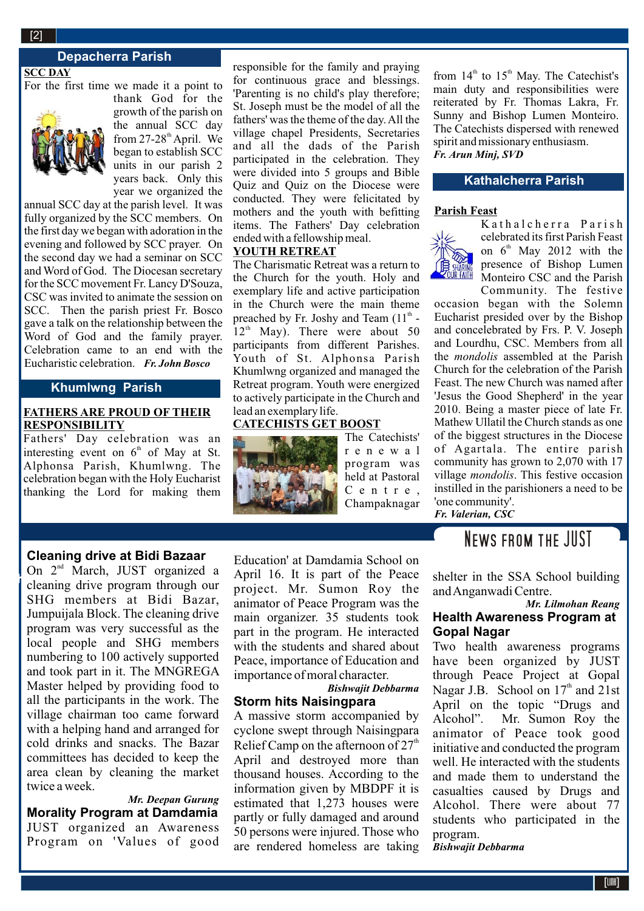#### **2**[2]

# **Depacherra Parish**

**SCC DAY**

For the first time we made it a point to



thank God for the growth of the parish on the annual SCC day from  $27-28$ <sup>th</sup> April. We began to establish SCC units in our parish 2 years back. Only this year we organized the

annual SCC day at the parish level. It was fully organized by the SCC members. On the first day we began with adoration in the evening and followed by SCC prayer. On the second day we had a seminar on SCC and Word of God. The Diocesan secretary for the SCC movement Fr. Lancy D'Souza, CSC was invited to animate the session on SCC. Then the parish priest Fr. Bosco gave a talk on the relationship between the Word of God and the family prayer. Celebration came to an end with the Eucharistic celebration. *Fr. John Bosco*

# **Khumlwng Parish**

### **FATHERS ARE PROUD OF THEIR RESPONSIBILITY**

Fathers' Day celebration was an interesting event on  $6<sup>th</sup>$  of May at St. Alphonsa Parish, Khumlwng. The celebration began with the Holy Eucharist thanking the Lord for making them

responsible for the family and praying for continuous grace and blessings. 'Parenting is no child's play therefore; St. Joseph must be the model of all the fathers' was the theme of the day. All the village chapel Presidents, Secretaries and all the dads of the Parish participated in the celebration. They were divided into 5 groups and Bible Quiz and Quiz on the Diocese were conducted. They were felicitated by mothers and the youth with befitting items. The Fathers' Day celebration ended with a fellowship meal.

### **YOUTH RETREAT**

The Charismatic Retreat was a return to the Church for the youth. Holy and exemplary life and active participation in the Church were the main theme preached by Fr. Joshy and Team  $(11<sup>th</sup> 12<sup>th</sup>$  May). There were about 50 participants from different Parishes. Youth of St. Alphonsa Parish Khumlwng organized and managed the Retreat program. Youth were energized to actively participate in the Church and lead an exemplary life.

# **CATECHISTS GET BOOST**



The Catechists' r e n e w a l program was held at Pastoral C e n t r e , Champaknagar

**Cleaning drive at Bidi Bazaar**

 $\mathbb{R}^2$ 

On 2<sup>nd</sup> March, JUST organized a cleaning drive program through our SHG members at Bidi Bazar, Jumpuijala Block. The cleaning drive program was very successful as the local people and SHG members numbering to 100 actively supported and took part in it. The MNGREGA Master helped by providing food to all the participants in the work. The village chairman too came forward with a helping hand and arranged for cold drinks and snacks. The Bazar committees has decided to keep the area clean by cleaning the market twice a week.

*Mr. Deepan Gurung* **Morality Program at Damdamia** JUST organized an Awareness Program on 'Values of good

Education' at Damdamia School on April 16. It is part of the Peace project. Mr. Sumon Roy the animator of Peace Program was the main organizer. 35 students took part in the program. He interacted with the students and shared about Peace, importance of Education and importance of moral character.

#### *Bishwajit Debbarma*  **Storm hits Naisingpara**

A massive storm accompanied by cyclone swept through Naisingpara Relief Camp on the afternoon of  $27<sup>th</sup>$ April and destroyed more than thousand houses. According to the information given by MBDPF it is estimated that 1,273 houses were partly or fully damaged and around 50 persons were injured. Those who are rendered homeless are taking from  $14<sup>th</sup>$  to  $15<sup>th</sup>$  May. The Catechist's main duty and responsibilities were reiterated by Fr. Thomas Lakra, Fr. Sunny and Bishop Lumen Monteiro. The Catechists dispersed with renewed spirit and missionary enthusiasm. *Fr. Arun Minj, SVD*

### **Kathalcherra Parish**

#### **Parish Feast**



K a thalcherra Parish celebrated its first Parish Feast on  $6<sup>th</sup>$  May 2012 with the presence of Bishop Lumen Monteiro CSC and the Parish Community. The festive

2010. Being a master piece of late Fr. occasion began with the Solemn Eucharist presided over by the Bishop and concelebrated by Frs. P. V. Joseph and Lourdhu, CSC. Members from all the *mondolis* assembled at the Parish Church for the celebration of the Parish Feast. The new Church was named after 'Jesus the Good Shepherd' in the year Mathew Ullatil the Church stands as one of the biggest structures in the Diocese of Agartala. The entire parish community has grown to 2,070 with 17 village *mondolis*. This festive occasion instilled in the parishioners a need to be 'one community'. *Fr. Valerian, CSC*

# News from the JUST

shelter in the SSA School building and Anganwadi Centre.

### *Mr. Lilmohan Reang* **Health Awareness Program at Gopal Nagar**

Two health awareness programs have been organized by JUST through Peace Project at Gopal Nagar J.B. School on  $17<sup>th</sup>$  and  $21st$ April on the topic "Drugs and Alcohol". Mr. Sumon Roy the animator of Peace took good initiative and conducted the program well. He interacted with the students and made them to understand the casualties caused by Drugs and Alcohol. There were about 77 students who participated in the program.

*Bishwajit Debbarma*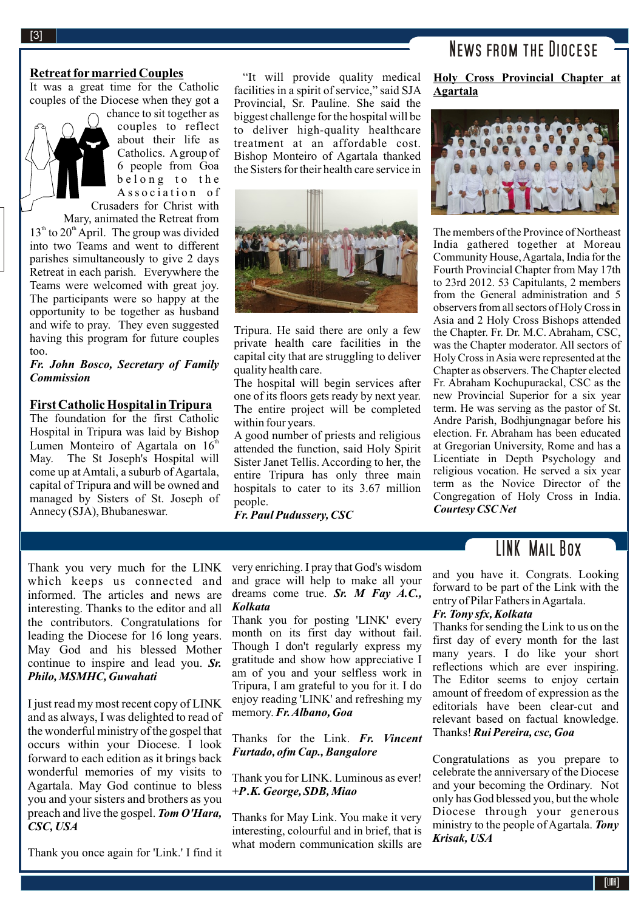#### **Retreat for married Couples**

It was a great time for the Catholic couples of the Diocese when they got a

chance to sit together as couples to reflect about their life as Catholics. Agroup of 6 people from Goa belong to the Association of

Crusaders for Christ with Mary, animated the Retreat from

 $13<sup>th</sup>$  to  $20<sup>th</sup>$  April. The group was divided into two Teams and went to different parishes simultaneously to give 2 days Retreat in each parish. Everywhere the Teams were welcomed with great joy. The participants were so happy at the opportunity to be together as husband and wife to pray. They even suggested having this program for future couples too.

#### *Fr. John Bosco, Secretary of Family Commission*

#### **First Catholic Hospital in Tripura**

The foundation for the first Catholic Hospital in Tripura was laid by Bishop Lumen Monteiro of Agartala on  $16<sup>th</sup>$ May. The St Joseph's Hospital will come up at Amtali, a suburb of Agartala, capital of Tripura and will be owned and managed by Sisters of St. Joseph of Annecy (SJA), Bhubaneswar.

"It will provide quality medical facilities in a spirit of service," said SJA Provincial, Sr. Pauline. She said the biggest challenge for the hospital will be to deliver high-quality healthcare treatment at an affordable cost. Bishop Monteiro of Agartala thanked the Sisters for their health care service in



Tripura. He said there are only a few private health care facilities in the capital city that are struggling to deliver quality health care.

The hospital will begin services after one of its floors gets ready by next year. The entire project will be completed within four years.

A good number of priests and religious attended the function, said Holy Spirit Sister Janet Tellis. According to her, the entire Tripura has only three main hospitals to cater to its 3.67 million people.

*Fr. Paul Pudussery, CSC*

# News from the Diocese

**Holy Cross Provincial Chapter at Agartala** 



The members of the Province of Northeast India gathered together at Moreau Community House, Agartala, India for the Fourth Provincial Chapter from May 17th to 23rd 2012. 53 Capitulants, 2 members from the General administration and 5 observers from all sectors of Holy Cross in Asia and 2 Holy Cross Bishops attended the Chapter. Fr. Dr. M.C. Abraham, CSC, was the Chapter moderator. All sectors of Holy Cross in Asia were represented at the Chapter as observers. The Chapter elected Fr. Abraham Kochupurackal, CSC as the new Provincial Superior for a six year term. He was serving as the pastor of St. Andre Parish, Bodhjungnagar before his election. Fr. Abraham has been educated at Gregorian University, Rome and has a Licentiate in Depth Psychology and religious vocation. He served a six year term as the Novice Director of the Congregation of Holy Cross in India. *Courtesy CSC Net*

# LINK Mail Box

Thank you very much for the LINK which keeps us connected and informed. The articles and news are interesting. Thanks to the editor and all the contributors. Congratulations for leading the Diocese for 16 long years. May God and his blessed Mother continue to inspire and lead you. *Sr. Philo, MSMHC, Guwahati*

I just read my most recent copy of LINK and as always, I was delighted to read of the wonderful ministry of the gospel that occurs within your Diocese. I look forward to each edition as it brings back wonderful memories of my visits to Agartala. May God continue to bless you and your sisters and brothers as you preach and live the gospel. *Tom O'Hara, CSC, USA*

Thank you once again for 'Link.' I find it

very enriching. I pray that God's wisdom and grace will help to make all your dreams come true. *Sr. M Fay A.C., Kolkata*

Thank you for posting 'LINK' every month on its first day without fail. Though I don't regularly express my gratitude and show how appreciative I am of you and your selfless work in Tripura, I am grateful to you for it. I do enjoy reading 'LINK' and refreshing my memory. *Fr. Albano, Goa*

Thanks for the Link. *Fr. Vincent Furtado, ofm Cap., Bangalore*

Thank you for LINK. Luminous as ever! *+P.K. George, SDB, Miao*

Thanks for May Link. You make it very interesting, colourful and in brief, that is what modern communication skills are and you have it. Congrats. Looking forward to be part of the Link with the entry of Pilar Fathers in Agartala.

#### *Fr. Tony sfx, Kolkata*

Thanks for sending the Link to us on the first day of every month for the last many years. I do like your short reflections which are ever inspiring. The Editor seems to enjoy certain amount of freedom of expression as the editorials have been clear-cut and relevant based on factual knowledge. Thanks! *Rui Pereira, csc, Goa*

Congratulations as you prepare to celebrate the anniversary of the Diocese and your becoming the Ordinary. Not only has God blessed you, but the whole Diocese through your generous ministry to the people of Agartala. *Tony Krisak, USA*